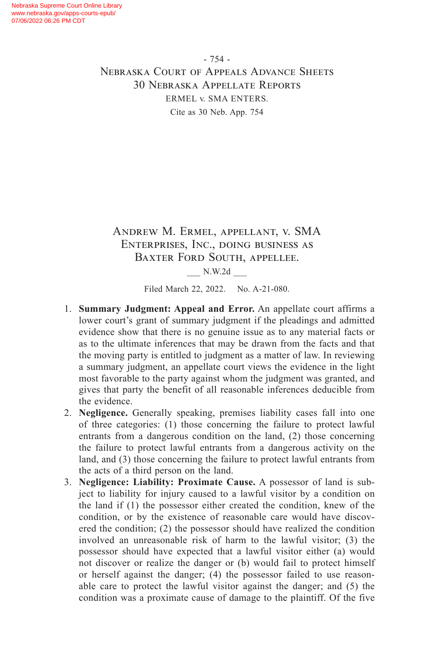- 754 - Nebraska Court of Appeals Advance Sheets 30 Nebraska Appellate Reports ERMEL v. SMA ENTERS. Cite as 30 Neb. App. 754

# Andrew M. Ermel, appellant, v. SMA Enterprises, Inc., doing business as Baxter Ford South, appellee.

\_\_\_ N.W.2d \_\_\_

Filed March 22, 2022. No. A-21-080.

- 1. **Summary Judgment: Appeal and Error.** An appellate court affirms a lower court's grant of summary judgment if the pleadings and admitted evidence show that there is no genuine issue as to any material facts or as to the ultimate inferences that may be drawn from the facts and that the moving party is entitled to judgment as a matter of law. In reviewing a summary judgment, an appellate court views the evidence in the light most favorable to the party against whom the judgment was granted, and gives that party the benefit of all reasonable inferences deducible from the evidence.
- 2. **Negligence.** Generally speaking, premises liability cases fall into one of three categories: (1) those concerning the failure to protect lawful entrants from a dangerous condition on the land, (2) those concerning the failure to protect lawful entrants from a dangerous activity on the land, and (3) those concerning the failure to protect lawful entrants from the acts of a third person on the land.
- 3. **Negligence: Liability: Proximate Cause.** A possessor of land is subject to liability for injury caused to a lawful visitor by a condition on the land if (1) the possessor either created the condition, knew of the condition, or by the existence of reasonable care would have discovered the condition; (2) the possessor should have realized the condition involved an unreasonable risk of harm to the lawful visitor; (3) the possessor should have expected that a lawful visitor either (a) would not discover or realize the danger or (b) would fail to protect himself or herself against the danger; (4) the possessor failed to use reasonable care to protect the lawful visitor against the danger; and (5) the condition was a proximate cause of damage to the plaintiff. Of the five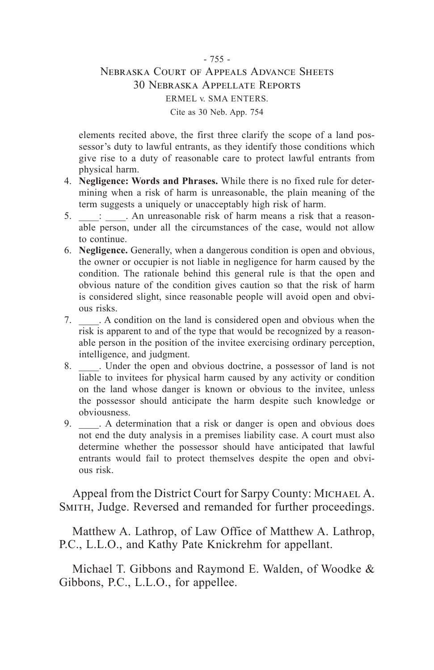# - 755 - Nebraska Court of Appeals Advance Sheets 30 Nebraska Appellate Reports ERMEL v. SMA ENTERS. Cite as 30 Neb. App. 754

elements recited above, the first three clarify the scope of a land possessor's duty to lawful entrants, as they identify those conditions which give rise to a duty of reasonable care to protect lawful entrants from physical harm.

- 4. **Negligence: Words and Phrases.** While there is no fixed rule for determining when a risk of harm is unreasonable, the plain meaning of the term suggests a uniquely or unacceptably high risk of harm.
- 5. \_\_\_\_: \_\_\_\_. An unreasonable risk of harm means a risk that a reasonable person, under all the circumstances of the case, would not allow to continue.
- 6. **Negligence.** Generally, when a dangerous condition is open and obvious, the owner or occupier is not liable in negligence for harm caused by the condition. The rationale behind this general rule is that the open and obvious nature of the condition gives caution so that the risk of harm is considered slight, since reasonable people will avoid open and obvious risks.
- 7. \_\_\_\_. A condition on the land is considered open and obvious when the risk is apparent to and of the type that would be recognized by a reasonable person in the position of the invitee exercising ordinary perception, intelligence, and judgment.
- 8. Linder the open and obvious doctrine, a possessor of land is not liable to invitees for physical harm caused by any activity or condition on the land whose danger is known or obvious to the invitee, unless the possessor should anticipate the harm despite such knowledge or obviousness.
- 9. A determination that a risk or danger is open and obvious does not end the duty analysis in a premises liability case. A court must also determine whether the possessor should have anticipated that lawful entrants would fail to protect themselves despite the open and obvious risk.

Appeal from the District Court for Sarpy County: MICHAEL A. SMITH, Judge. Reversed and remanded for further proceedings.

Matthew A. Lathrop, of Law Office of Matthew A. Lathrop, P.C., L.L.O., and Kathy Pate Knickrehm for appellant.

Michael T. Gibbons and Raymond E. Walden, of Woodke & Gibbons, P.C., L.L.O., for appellee.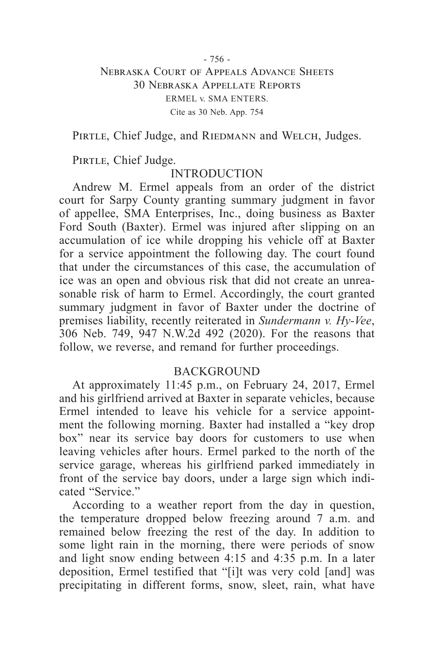# - 756 - Nebraska Court of Appeals Advance Sheets 30 Nebraska Appellate Reports ERMEL v. SMA ENTERS. Cite as 30 Neb. App. 754

PIRTLE, Chief Judge, and RIEDMANN and WELCH, Judges.

PIRTLE, Chief Judge.

# INTRODUCTION

Andrew M. Ermel appeals from an order of the district court for Sarpy County granting summary judgment in favor of appellee, SMA Enterprises, Inc., doing business as Baxter Ford South (Baxter). Ermel was injured after slipping on an accumulation of ice while dropping his vehicle off at Baxter for a service appointment the following day. The court found that under the circumstances of this case, the accumulation of ice was an open and obvious risk that did not create an unreasonable risk of harm to Ermel. Accordingly, the court granted summary judgment in favor of Baxter under the doctrine of premises liability, recently reiterated in *Sundermann v. Hy-Vee*, 306 Neb. 749, 947 N.W.2d 492 (2020). For the reasons that follow, we reverse, and remand for further proceedings.

# **BACKGROUND**

At approximately 11:45 p.m., on February 24, 2017, Ermel and his girlfriend arrived at Baxter in separate vehicles, because Ermel intended to leave his vehicle for a service appointment the following morning. Baxter had installed a "key drop box" near its service bay doors for customers to use when leaving vehicles after hours. Ermel parked to the north of the service garage, whereas his girlfriend parked immediately in front of the service bay doors, under a large sign which indicated "Service."

According to a weather report from the day in question, the temperature dropped below freezing around 7 a.m. and remained below freezing the rest of the day. In addition to some light rain in the morning, there were periods of snow and light snow ending between 4:15 and 4:35 p.m. In a later deposition, Ermel testified that "[i]t was very cold [and] was precipitating in different forms, snow, sleet, rain, what have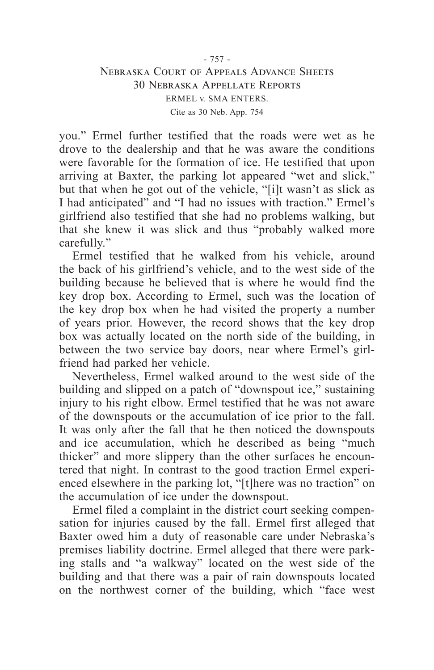# - 757 - Nebraska Court of Appeals Advance Sheets 30 Nebraska Appellate Reports ERMEL v. SMA ENTERS. Cite as 30 Neb. App. 754

you." Ermel further testified that the roads were wet as he drove to the dealership and that he was aware the conditions were favorable for the formation of ice. He testified that upon arriving at Baxter, the parking lot appeared "wet and slick," but that when he got out of the vehicle, "[i]t wasn't as slick as I had anticipated" and "I had no issues with traction." Ermel's girlfriend also testified that she had no problems walking, but that she knew it was slick and thus "probably walked more carefully."

Ermel testified that he walked from his vehicle, around the back of his girlfriend's vehicle, and to the west side of the building because he believed that is where he would find the key drop box. According to Ermel, such was the location of the key drop box when he had visited the property a number of years prior. However, the record shows that the key drop box was actually located on the north side of the building, in between the two service bay doors, near where Ermel's girlfriend had parked her vehicle.

Nevertheless, Ermel walked around to the west side of the building and slipped on a patch of "downspout ice," sustaining injury to his right elbow. Ermel testified that he was not aware of the downspouts or the accumulation of ice prior to the fall. It was only after the fall that he then noticed the downspouts and ice accumulation, which he described as being "much thicker" and more slippery than the other surfaces he encountered that night. In contrast to the good traction Ermel experienced elsewhere in the parking lot, "[t]here was no traction" on the accumulation of ice under the downspout.

Ermel filed a complaint in the district court seeking compensation for injuries caused by the fall. Ermel first alleged that Baxter owed him a duty of reasonable care under Nebraska's premises liability doctrine. Ermel alleged that there were parking stalls and "a walkway" located on the west side of the building and that there was a pair of rain downspouts located on the northwest corner of the building, which "face west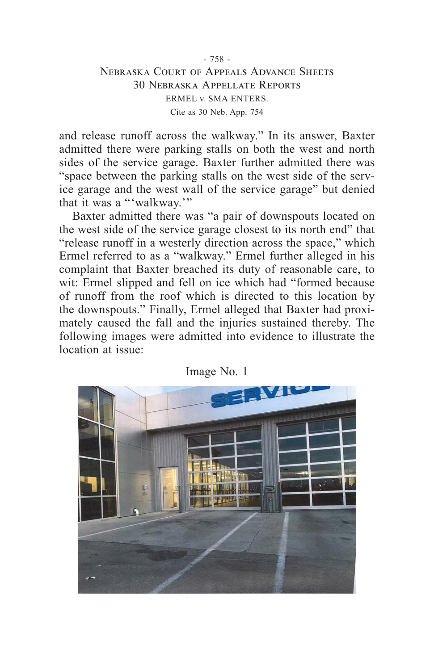# - 758 - Nebraska Court of Appeals Advance Sheets 30 Nebraska Appellate Reports ERMEL v. SMA ENTERS. Cite as 30 Neb. App. 754

and release runoff across the walkway." In its answer, Baxter admitted there were parking stalls on both the west and north sides of the service garage. Baxter further admitted there was "space between the parking stalls on the west side of the service garage and the west wall of the service garage" but denied that it was a "'walkway.'"

Baxter admitted there was "a pair of downspouts located on the west side of the service garage closest to its north end" that "release runoff in a westerly direction across the space," which Ermel referred to as a "walkway." Ermel further alleged in his complaint that Baxter breached its duty of reasonable care, to wit: Ermel slipped and fell on ice which had "formed because of runoff from the roof which is directed to this location by the downspouts." Finally, Ermel alleged that Baxter had proximately caused the fall and the injuries sustained thereby. The following images were admitted into evidence to illustrate the location at issue:



Image No. 1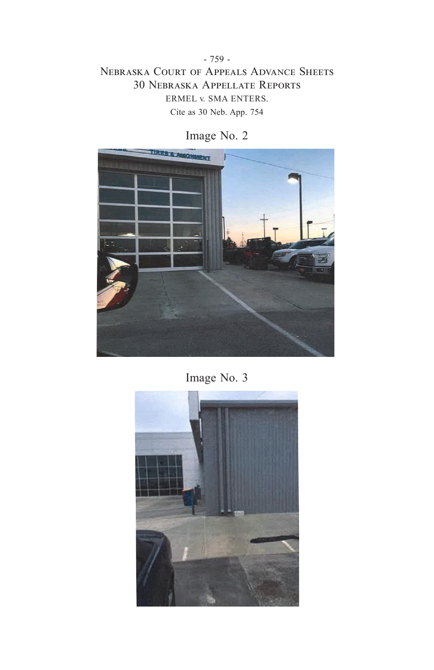- 759 - Nebraska Court of Appeals Advance Sheets 30 Nebraska Appellate Reports ERMEL v. SMA ENTERS. Cite as 30 Neb. App. 754



Image No. 2

Image No. 3

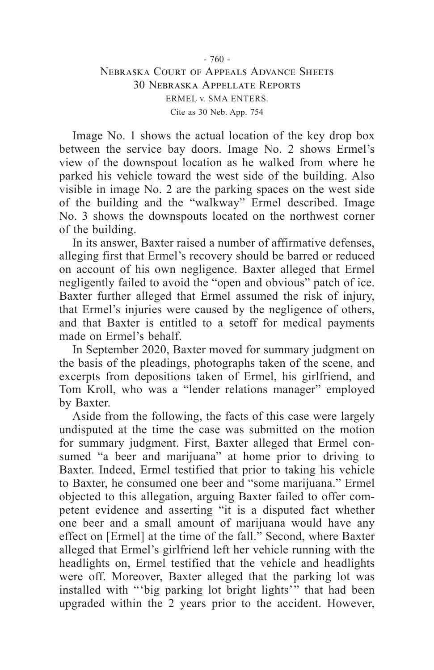# - 760 - Nebraska Court of Appeals Advance Sheets 30 Nebraska Appellate Reports ERMEL v. SMA ENTERS. Cite as 30 Neb. App. 754

Image No. 1 shows the actual location of the key drop box between the service bay doors. Image No. 2 shows Ermel's view of the downspout location as he walked from where he parked his vehicle toward the west side of the building. Also visible in image No. 2 are the parking spaces on the west side of the building and the "walkway" Ermel described. Image No. 3 shows the downspouts located on the northwest corner of the building.

In its answer, Baxter raised a number of affirmative defenses, alleging first that Ermel's recovery should be barred or reduced on account of his own negligence. Baxter alleged that Ermel negligently failed to avoid the "open and obvious" patch of ice. Baxter further alleged that Ermel assumed the risk of injury, that Ermel's injuries were caused by the negligence of others, and that Baxter is entitled to a setoff for medical payments made on Ermel's behalf.

In September 2020, Baxter moved for summary judgment on the basis of the pleadings, photographs taken of the scene, and excerpts from depositions taken of Ermel, his girlfriend, and Tom Kroll, who was a "lender relations manager" employed by Baxter.

Aside from the following, the facts of this case were largely undisputed at the time the case was submitted on the motion for summary judgment. First, Baxter alleged that Ermel consumed "a beer and marijuana" at home prior to driving to Baxter. Indeed, Ermel testified that prior to taking his vehicle to Baxter, he consumed one beer and "some marijuana." Ermel objected to this allegation, arguing Baxter failed to offer competent evidence and asserting "it is a disputed fact whether one beer and a small amount of marijuana would have any effect on [Ermel] at the time of the fall." Second, where Baxter alleged that Ermel's girlfriend left her vehicle running with the headlights on, Ermel testified that the vehicle and headlights were off. Moreover, Baxter alleged that the parking lot was installed with "big parking lot bright lights" that had been upgraded within the 2 years prior to the accident. However,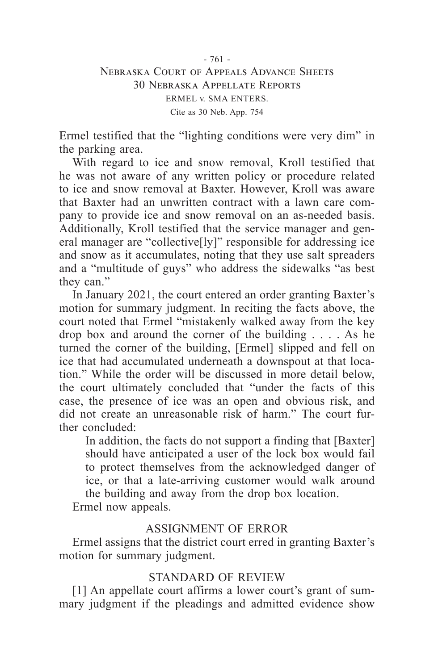# - 761 - Nebraska Court of Appeals Advance Sheets 30 Nebraska Appellate Reports ERMEL v. SMA ENTERS. Cite as 30 Neb. App. 754

Ermel testified that the "lighting conditions were very dim" in the parking area.

With regard to ice and snow removal, Kroll testified that he was not aware of any written policy or procedure related to ice and snow removal at Baxter. However, Kroll was aware that Baxter had an unwritten contract with a lawn care company to provide ice and snow removal on an as-needed basis. Additionally, Kroll testified that the service manager and general manager are "collective[ly]" responsible for addressing ice and snow as it accumulates, noting that they use salt spreaders and a "multitude of guys" who address the sidewalks "as best they can."

In January 2021, the court entered an order granting Baxter's motion for summary judgment. In reciting the facts above, the court noted that Ermel "mistakenly walked away from the key drop box and around the corner of the building . . . . As he turned the corner of the building, [Ermel] slipped and fell on ice that had accumulated underneath a downspout at that location." While the order will be discussed in more detail below, the court ultimately concluded that "under the facts of this case, the presence of ice was an open and obvious risk, and did not create an unreasonable risk of harm." The court further concluded:

In addition, the facts do not support a finding that [Baxter] should have anticipated a user of the lock box would fail to protect themselves from the acknowledged danger of ice, or that a late-arriving customer would walk around the building and away from the drop box location. Ermel now appeals.

# ASSIGNMENT OF ERROR

Ermel assigns that the district court erred in granting Baxter's motion for summary judgment.

# STANDARD OF REVIEW

[1] An appellate court affirms a lower court's grant of summary judgment if the pleadings and admitted evidence show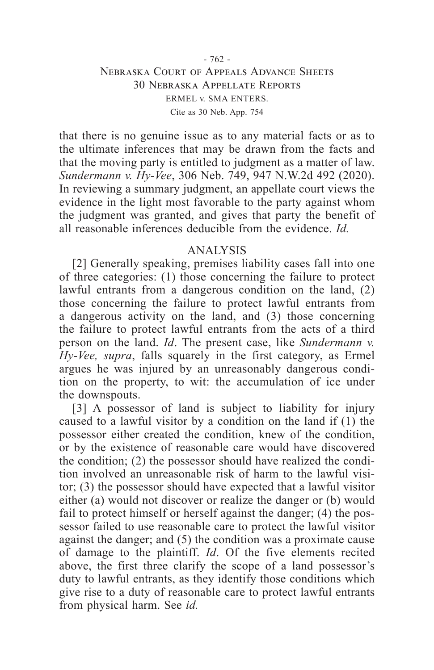# Nebraska Court of Appeals Advance Sheets 30 Nebraska Appellate Reports ERMEL v. SMA ENTERS. Cite as 30 Neb. App. 754

that there is no genuine issue as to any material facts or as to the ultimate inferences that may be drawn from the facts and that the moving party is entitled to judgment as a matter of law. *Sundermann v. Hy-Vee*, 306 Neb. 749, 947 N.W.2d 492 (2020). In reviewing a summary judgment, an appellate court views the evidence in the light most favorable to the party against whom the judgment was granted, and gives that party the benefit of all reasonable inferences deducible from the evidence. *Id.*

#### ANALYSIS

[2] Generally speaking, premises liability cases fall into one of three categories: (1) those concerning the failure to protect lawful entrants from a dangerous condition on the land, (2) those concerning the failure to protect lawful entrants from a dangerous activity on the land, and (3) those concerning the failure to protect lawful entrants from the acts of a third person on the land. *Id*. The present case, like *Sundermann v. Hy-Vee, supra*, falls squarely in the first category, as Ermel argues he was injured by an unreasonably dangerous condition on the property, to wit: the accumulation of ice under the downspouts.

[3] A possessor of land is subject to liability for injury caused to a lawful visitor by a condition on the land if (1) the possessor either created the condition, knew of the condition, or by the existence of reasonable care would have discovered the condition; (2) the possessor should have realized the condition involved an unreasonable risk of harm to the lawful visitor; (3) the possessor should have expected that a lawful visitor either (a) would not discover or realize the danger or (b) would fail to protect himself or herself against the danger; (4) the possessor failed to use reasonable care to protect the lawful visitor against the danger; and (5) the condition was a proximate cause of damage to the plaintiff. *Id*. Of the five elements recited above, the first three clarify the scope of a land possessor's duty to lawful entrants, as they identify those conditions which give rise to a duty of reasonable care to protect lawful entrants from physical harm. See *id.*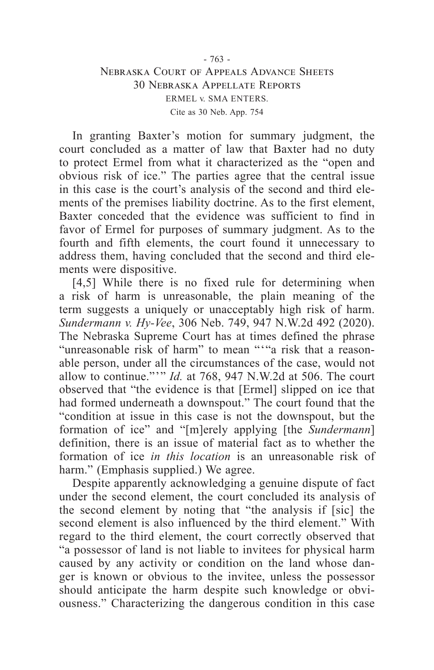# - 763 - Nebraska Court of Appeals Advance Sheets 30 Nebraska Appellate Reports ERMEL v. SMA ENTERS. Cite as 30 Neb. App. 754

In granting Baxter's motion for summary judgment, the court concluded as a matter of law that Baxter had no duty to protect Ermel from what it characterized as the "open and obvious risk of ice." The parties agree that the central issue in this case is the court's analysis of the second and third elements of the premises liability doctrine. As to the first element, Baxter conceded that the evidence was sufficient to find in favor of Ermel for purposes of summary judgment. As to the fourth and fifth elements, the court found it unnecessary to address them, having concluded that the second and third elements were dispositive.

[4,5] While there is no fixed rule for determining when a risk of harm is unreasonable, the plain meaning of the term suggests a uniquely or unacceptably high risk of harm. *Sundermann v. Hy-Vee*, 306 Neb. 749, 947 N.W.2d 492 (2020). The Nebraska Supreme Court has at times defined the phrase "unreasonable risk of harm" to mean ""a risk that a reasonable person, under all the circumstances of the case, would not allow to continue."'" *Id.* at 768, 947 N.W.2d at 506. The court observed that "the evidence is that [Ermel] slipped on ice that had formed underneath a downspout." The court found that the "condition at issue in this case is not the downspout, but the formation of ice" and "[m]erely applying [the *Sundermann*] definition, there is an issue of material fact as to whether the formation of ice *in this location* is an unreasonable risk of harm." (Emphasis supplied.) We agree.

Despite apparently acknowledging a genuine dispute of fact under the second element, the court concluded its analysis of the second element by noting that "the analysis if [sic] the second element is also influenced by the third element." With regard to the third element, the court correctly observed that "a possessor of land is not liable to invitees for physical harm caused by any activity or condition on the land whose danger is known or obvious to the invitee, unless the possessor should anticipate the harm despite such knowledge or obviousness." Characterizing the dangerous condition in this case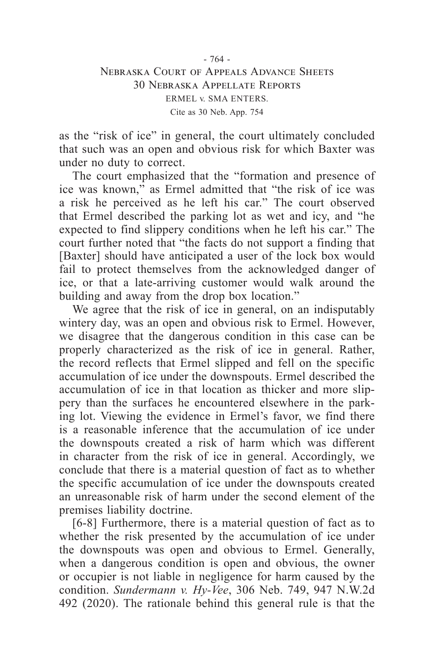# - 764 - Nebraska Court of Appeals Advance Sheets 30 Nebraska Appellate Reports ERMEL v. SMA ENTERS. Cite as 30 Neb. App. 754

as the "risk of ice" in general, the court ultimately concluded that such was an open and obvious risk for which Baxter was under no duty to correct.

The court emphasized that the "formation and presence of ice was known," as Ermel admitted that "the risk of ice was a risk he perceived as he left his car." The court observed that Ermel described the parking lot as wet and icy, and "he expected to find slippery conditions when he left his car." The court further noted that "the facts do not support a finding that [Baxter] should have anticipated a user of the lock box would fail to protect themselves from the acknowledged danger of ice, or that a late-arriving customer would walk around the building and away from the drop box location."

We agree that the risk of ice in general, on an indisputably wintery day, was an open and obvious risk to Ermel. However, we disagree that the dangerous condition in this case can be properly characterized as the risk of ice in general. Rather, the record reflects that Ermel slipped and fell on the specific accumulation of ice under the downspouts. Ermel described the accumulation of ice in that location as thicker and more slippery than the surfaces he encountered elsewhere in the parking lot. Viewing the evidence in Ermel's favor, we find there is a reasonable inference that the accumulation of ice under the downspouts created a risk of harm which was different in character from the risk of ice in general. Accordingly, we conclude that there is a material question of fact as to whether the specific accumulation of ice under the downspouts created an unreasonable risk of harm under the second element of the premises liability doctrine.

[6-8] Furthermore, there is a material question of fact as to whether the risk presented by the accumulation of ice under the downspouts was open and obvious to Ermel. Generally, when a dangerous condition is open and obvious, the owner or occupier is not liable in negligence for harm caused by the condition. *Sundermann v. Hy-Vee*, 306 Neb. 749, 947 N.W.2d 492 (2020). The rationale behind this general rule is that the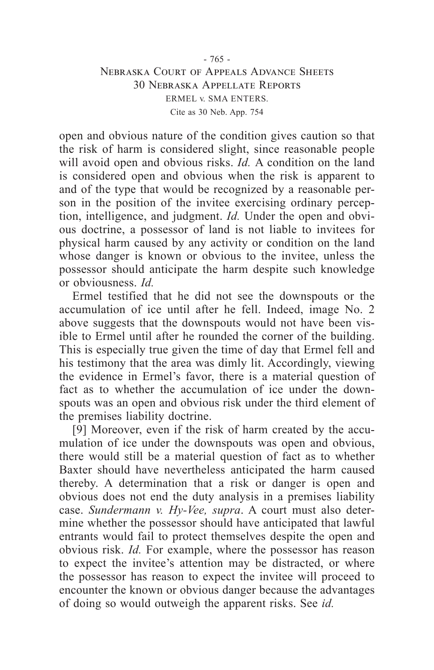# - 765 - Nebraska Court of Appeals Advance Sheets 30 Nebraska Appellate Reports ERMEL v. SMA ENTERS. Cite as 30 Neb. App. 754

open and obvious nature of the condition gives caution so that the risk of harm is considered slight, since reasonable people will avoid open and obvious risks. *Id.* A condition on the land is considered open and obvious when the risk is apparent to and of the type that would be recognized by a reasonable person in the position of the invitee exercising ordinary perception, intelligence, and judgment. *Id.* Under the open and obvious doctrine, a possessor of land is not liable to invitees for physical harm caused by any activity or condition on the land whose danger is known or obvious to the invitee, unless the possessor should anticipate the harm despite such knowledge or obviousness. *Id.*

Ermel testified that he did not see the downspouts or the accumulation of ice until after he fell. Indeed, image No. 2 above suggests that the downspouts would not have been visible to Ermel until after he rounded the corner of the building. This is especially true given the time of day that Ermel fell and his testimony that the area was dimly lit. Accordingly, viewing the evidence in Ermel's favor, there is a material question of fact as to whether the accumulation of ice under the downspouts was an open and obvious risk under the third element of the premises liability doctrine.

[9] Moreover, even if the risk of harm created by the accumulation of ice under the downspouts was open and obvious, there would still be a material question of fact as to whether Baxter should have nevertheless anticipated the harm caused thereby. A determination that a risk or danger is open and obvious does not end the duty analysis in a premises liability case. *Sundermann v. Hy-Vee, supra*. A court must also determine whether the possessor should have anticipated that lawful entrants would fail to protect themselves despite the open and obvious risk. *Id.* For example, where the possessor has reason to expect the invitee's attention may be distracted, or where the possessor has reason to expect the invitee will proceed to encounter the known or obvious danger because the advantages of doing so would outweigh the apparent risks. See *id.*